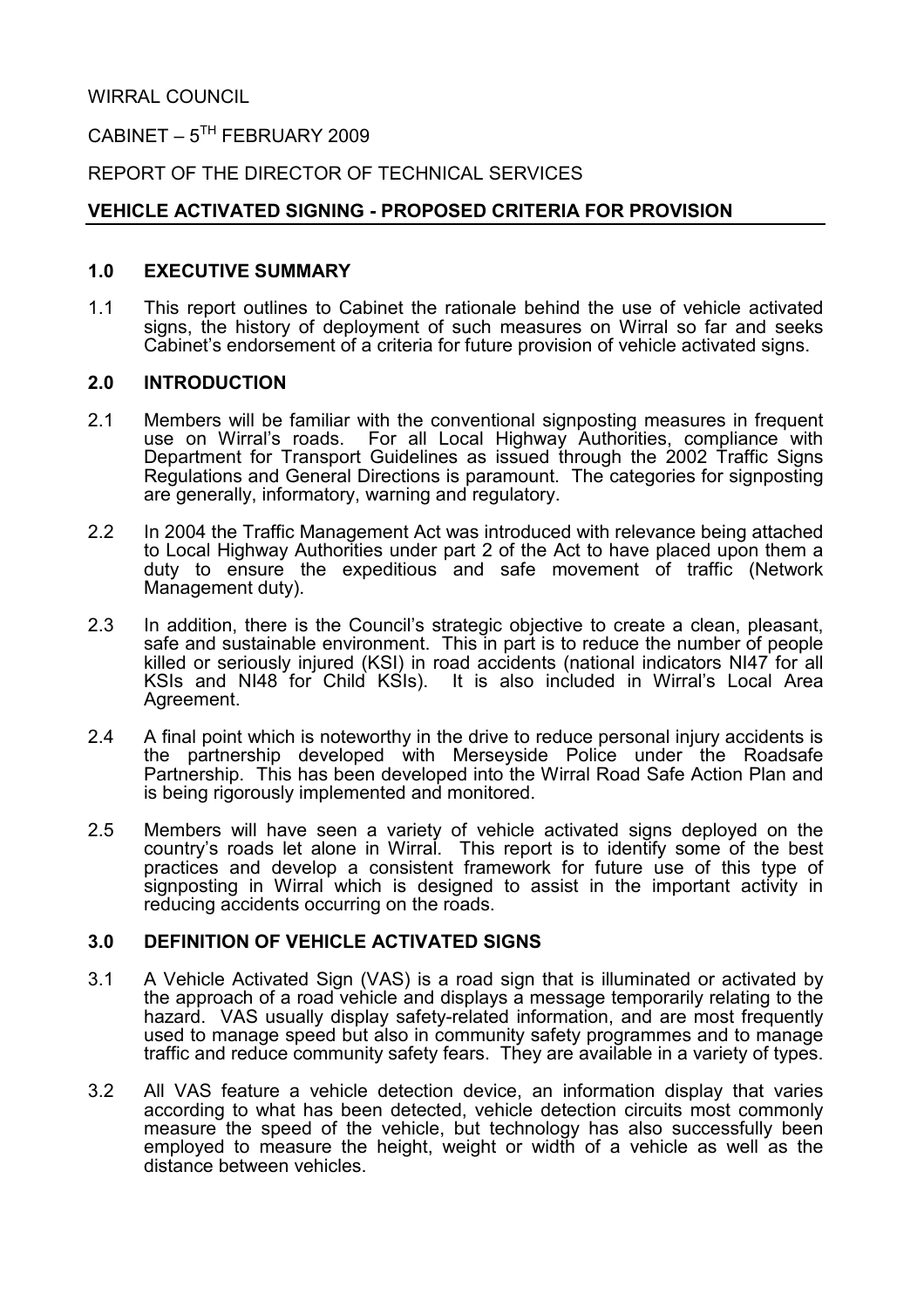# CABINET –  $5^{TH}$  FEBRUARY 2009

# REPORT OF THE DIRECTOR OF TECHNICAL SERVICES

# VEHICLE ACTIVATED SIGNING - PROPOSED CRITERIA FOR PROVISION

### 1.0 EXECUTIVE SUMMARY

1.1 This report outlines to Cabinet the rationale behind the use of vehicle activated signs, the history of deployment of such measures on Wirral so far and seeks Cabinet's endorsement of a criteria for future provision of vehicle activated signs.

### 2.0 INTRODUCTION

- 2.1 Members will be familiar with the conventional signposting measures in frequent use on Wirral's roads. For all Local Highway Authorities, compliance with Department for Transport Guidelines as issued through the 2002 Traffic Signs Regulations and General Directions is paramount. The categories for signposting are generally, informatory, warning and regulatory.
- 2.2 In 2004 the Traffic Management Act was introduced with relevance being attached to Local Highway Authorities under part 2 of the Act to have placed upon them a duty to ensure the expeditious and safe movement of traffic (Network Management duty).
- 2.3 In addition, there is the Council's strategic objective to create a clean, pleasant, safe and sustainable environment. This in part is to reduce the number of people killed or seriously injured (KSI) in road accidents (national indicators NI47 for all KSIs and NI48 for Child KSIs). It is also included in Wirral's Local Area Agreement.
- 2.4 A final point which is noteworthy in the drive to reduce personal injury accidents is the partnership developed with Merseyside Police under the Roadsafe Partnership. This has been developed into the Wirral Road Safe Action Plan and is being rigorously implemented and monitored.
- 2.5 Members will have seen a variety of vehicle activated signs deployed on the country's roads let alone in Wirral. This report is to identify some of the best practices and develop a consistent framework for future use of this type of signposting in Wirral which is designed to assist in the important activity in reducing accidents occurring on the roads.

### 3.0 DEFINITION OF VEHICLE ACTIVATED SIGNS

- 3.1 A Vehicle Activated Sign (VAS) is a road sign that is illuminated or activated by the approach of a road vehicle and displays a message temporarily relating to the hazard. VAS usually display safety-related information, and are most frequently used to manage speed but also in community safety programmes and to manage traffic and reduce community safety fears. They are available in a variety of types.
- 3.2 All VAS feature a vehicle detection device, an information display that varies according to what has been detected, vehicle detection circuits most commonly measure the speed of the vehicle, but technology has also successfully been employed to measure the height, weight or width of a vehicle as well as the distance between vehicles.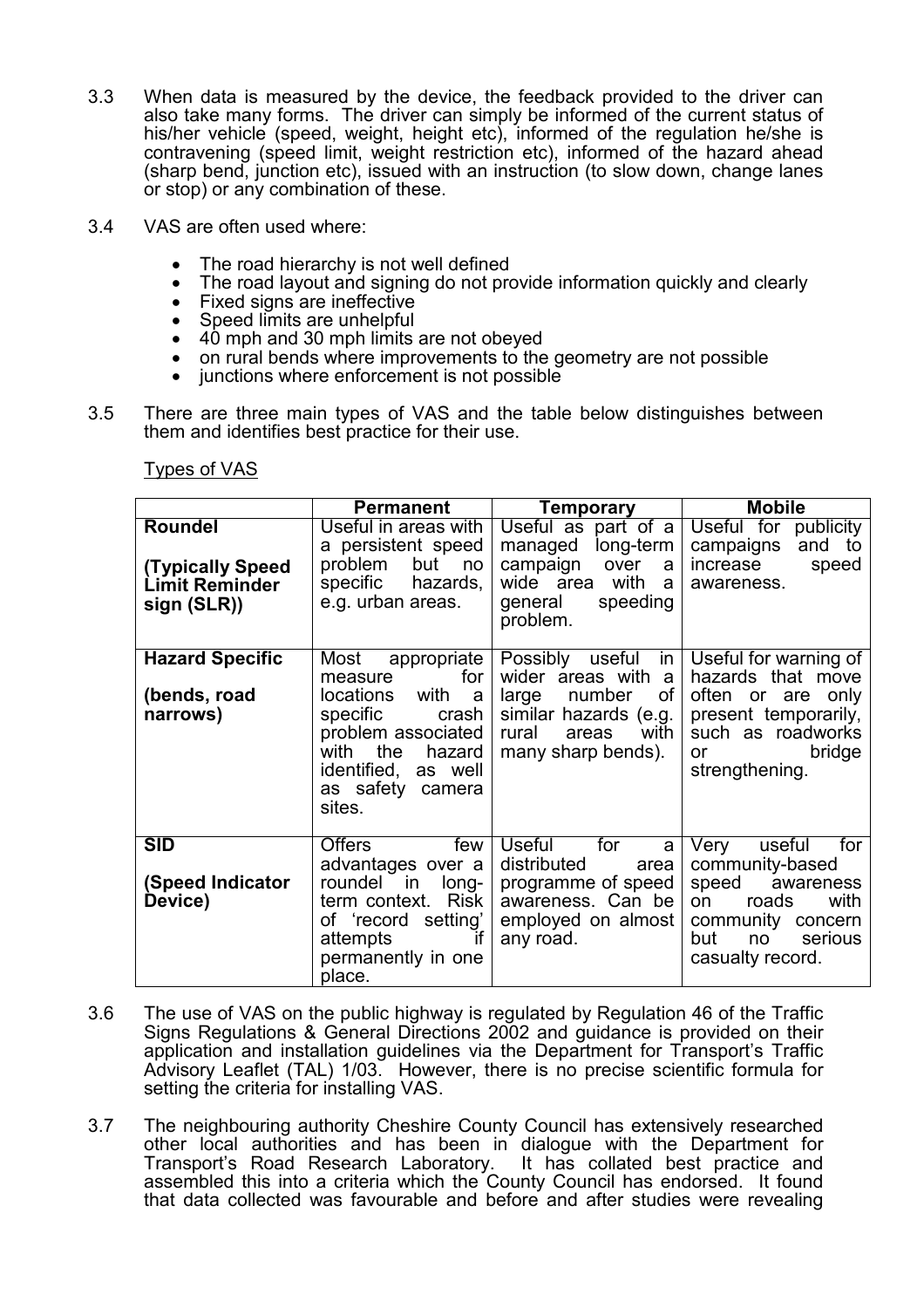- 3.3 When data is measured by the device, the feedback provided to the driver can also take many forms. The driver can simply be informed of the current status of his/her vehicle (speed, weight, height etc), informed of the regulation he/she is contravening (speed limit, weight restriction etc), informed of the hazard ahead (sharp bend, junction etc), issued with an instruction (to slow down, change lanes or stop) or any combination of these.
- 3.4 VAS are often used where:
	- The road hierarchy is not well defined
	- The road layout and signing do not provide information quickly and clearly
	- Fixed signs are ineffective
	- Speed limits are unhelpful
	- 40 mph and 30 mph limits are not obeved
	- on rural bends where improvements to the geometry are not possible
	- junctions where enforcement is not possible
- 3.5 There are three main types of VAS and the table below distinguishes between them and identifies best practice for their use.

Types of VAS

|                                                                     | <b>Permanent</b>                                                                                                                                                                         | <b>Temporary</b>                                                                                                                                        | <b>Mobile</b>                                                                                                                                          |  |
|---------------------------------------------------------------------|------------------------------------------------------------------------------------------------------------------------------------------------------------------------------------------|---------------------------------------------------------------------------------------------------------------------------------------------------------|--------------------------------------------------------------------------------------------------------------------------------------------------------|--|
| Roundel<br><b>(Typically Speed</b><br>Limit Reminder<br>sign (SLR)) | Useful in areas with<br>a persistent speed<br>problem<br>but<br>no<br>specific<br>hazards,<br>e.g. urban areas.                                                                          | Useful as part of a<br>long-term<br>managed<br>campaign<br>over<br>a<br>wide area<br>with<br>a<br>general<br>speeding<br>problem.                       | Useful for publicity<br>to<br>campaigns<br>and<br>increase<br>speed<br>awareness.                                                                      |  |
| <b>Hazard Specific</b><br>(bends, road<br>narrows)                  | Most<br>appropriate<br>for<br>measure<br>with<br>locations<br>a<br>specific<br>crash<br>problem associated<br>with the<br>hazard<br>identified,<br>as well<br>as safety camera<br>sites. | Possibly useful<br><i>in</i><br>wider areas with<br>a<br>number<br>οf<br>large<br>similar hazards (e.g.<br>with<br>rural<br>areas<br>many sharp bends). | Useful for warning of<br>hazards that move<br>often or are<br>only<br>present temporarily,<br>such as roadworks<br>bridge<br>or<br>strengthening.      |  |
| <b>SID</b><br>(Speed Indicator<br>Device)                           | <b>Offers</b><br>few<br>advantages over a<br>roundel in<br>long-<br><b>Risk</b><br>term context.<br>of 'record setting'<br>attempts<br>if<br>permanently in one<br>place.                | <b>Useful</b><br>for<br>a<br>distributed<br>area<br>programme of speed<br>awareness. Can be<br>employed on almost<br>any road.                          | Very<br>useful<br>for<br>community-based<br>speed<br>awareness<br>with<br>roads<br>on<br>community concern<br>but<br>serious<br>no<br>casualty record. |  |

- 3.6 The use of VAS on the public highway is regulated by Regulation 46 of the Traffic Signs Regulations & General Directions 2002 and guidance is provided on their application and installation guidelines via the Department for Transport's Traffic Advisory Leaflet (TAL) 1/03. However, there is no precise scientific formula for setting the criteria for installing VAS.
- 3.7 The neighbouring authority Cheshire County Council has extensively researched other local authorities and has been in dialogue with the Department for Transport's Road Research Laboratory. assembled this into a criteria which the County Council has endorsed. It found that data collected was favourable and before and after studies were revealing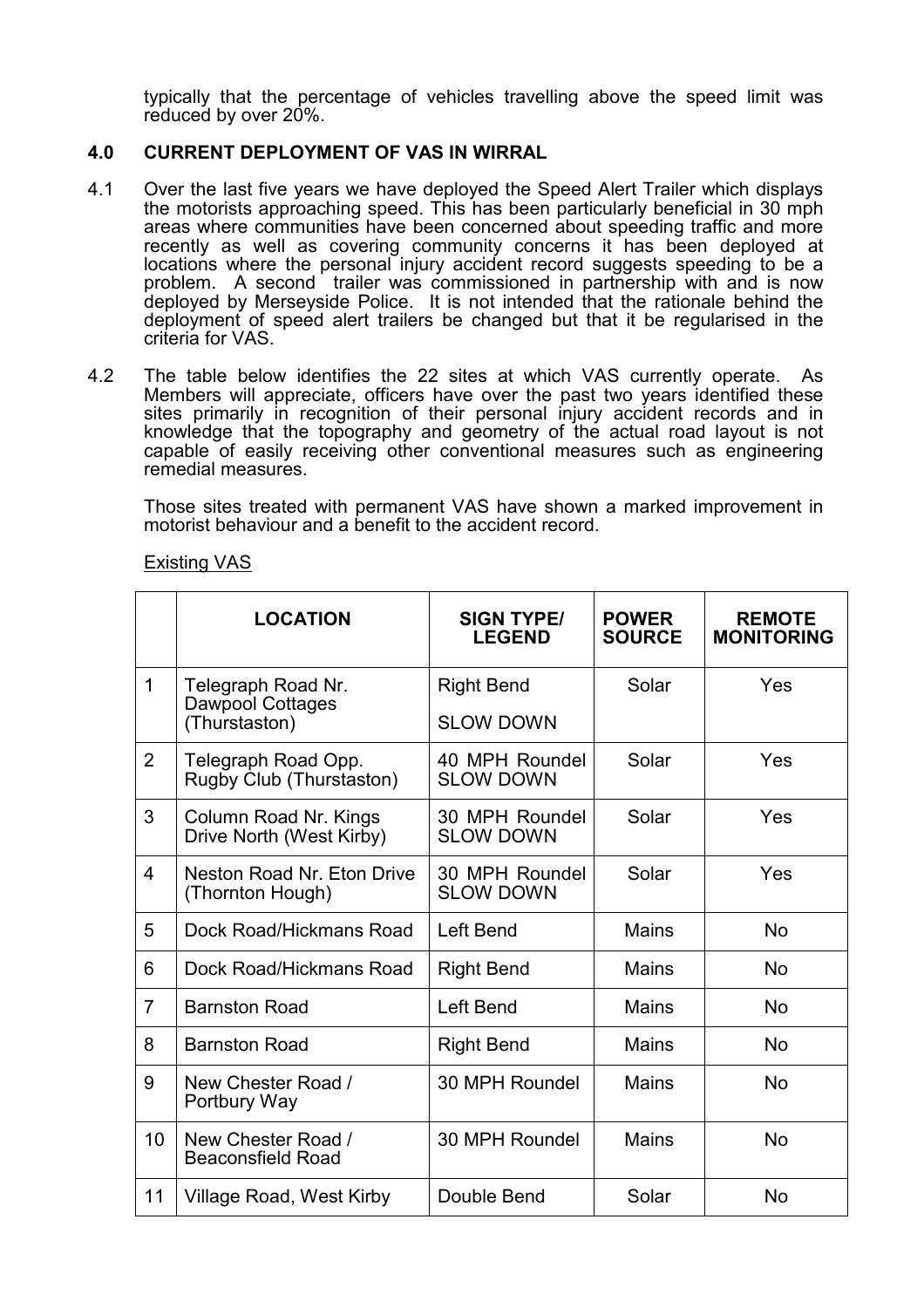typically that the percentage of vehicles travelling above the speed limit was reduced by over 20%.

# 4.0 CURRENT DEPLOYMENT OF VAS IN WIRRAL

- 4.1 Over the last five years we have deployed the Speed Alert Trailer which displays the motorists approaching speed. This has been particularly beneficial in 30 mph areas where communities have been concerned about speeding traffic and more recently as well as covering community concerns it has been deployed at locations where the personal injury accident record suggests speeding to be a problem. A second trailer was commissioned in partnership with and is now deployed by Merseyside Police. It is not intended that the rationale behind the deployment of speed alert trailers be changed but that it be regularised in the criteria for VAS.
- 4.2 The table below identifies the 22 sites at which VAS currently operate. As Members will appreciate, officers have over the past two years identified these sites primarily in recognition of their personal injury accident records and in knowledge that the topography and geometry of the actual road layout is not capable of easily receiving other conventional measures such as engineering remedial measures.

Those sites treated with permanent VAS have shown a marked improvement in motorist behaviour and a benefit to the accident record.

|                | <b>LOCATION</b>                                   | <b>SIGN TYPE/</b><br><b>LEGEND</b>          | <b>POWER</b><br><b>SOURCE</b> | <b>REMOTE</b><br><b>MONITORING</b> |
|----------------|---------------------------------------------------|---------------------------------------------|-------------------------------|------------------------------------|
| $\mathbf 1$    | Telegraph Road Nr.<br>Dawpool Cottages            | <b>Right Bend</b>                           | Solar                         | Yes                                |
|                | (Thurstaston)                                     | <b>SLOW DOWN</b>                            |                               |                                    |
| $\overline{2}$ | Telegraph Road Opp.<br>Rugby Club (Thurstaston)   | 40 MPH Roundel<br><b>SLOW DOWN</b>          | Solar                         |                                    |
| 3              | Column Road Nr. Kings<br>Drive North (West Kirby) | Solar<br>30 MPH Roundel<br><b>SLOW DOWN</b> |                               | Yes                                |
| $\overline{4}$ | Neston Road Nr. Eton Drive<br>(Thornton Hough)    | 30 MPH Roundel<br><b>SLOW DOWN</b>          | Solar                         | Yes                                |
| 5              | Dock Road/Hickmans Road                           | Left Bend                                   | <b>Mains</b>                  | <b>No</b>                          |
| 6              | Dock Road/Hickmans Road                           | <b>Right Bend</b>                           | <b>Mains</b>                  | <b>No</b>                          |
| $\overline{7}$ | <b>Barnston Road</b>                              | Left Bend                                   | Mains                         | <b>No</b>                          |
| 8              | <b>Barnston Road</b>                              | <b>Right Bend</b>                           | <b>Mains</b>                  | <b>No</b>                          |
| 9              | New Chester Road /<br>Portbury Way                | 30 MPH Roundel                              | <b>Mains</b>                  | <b>No</b>                          |
| 10             | New Chester Road /<br><b>Beaconsfield Road</b>    | 30 MPH Roundel                              | <b>Mains</b>                  | <b>No</b>                          |
| 11             | Village Road, West Kirby                          | Double Bend                                 | Solar                         | <b>No</b>                          |

#### Existing VAS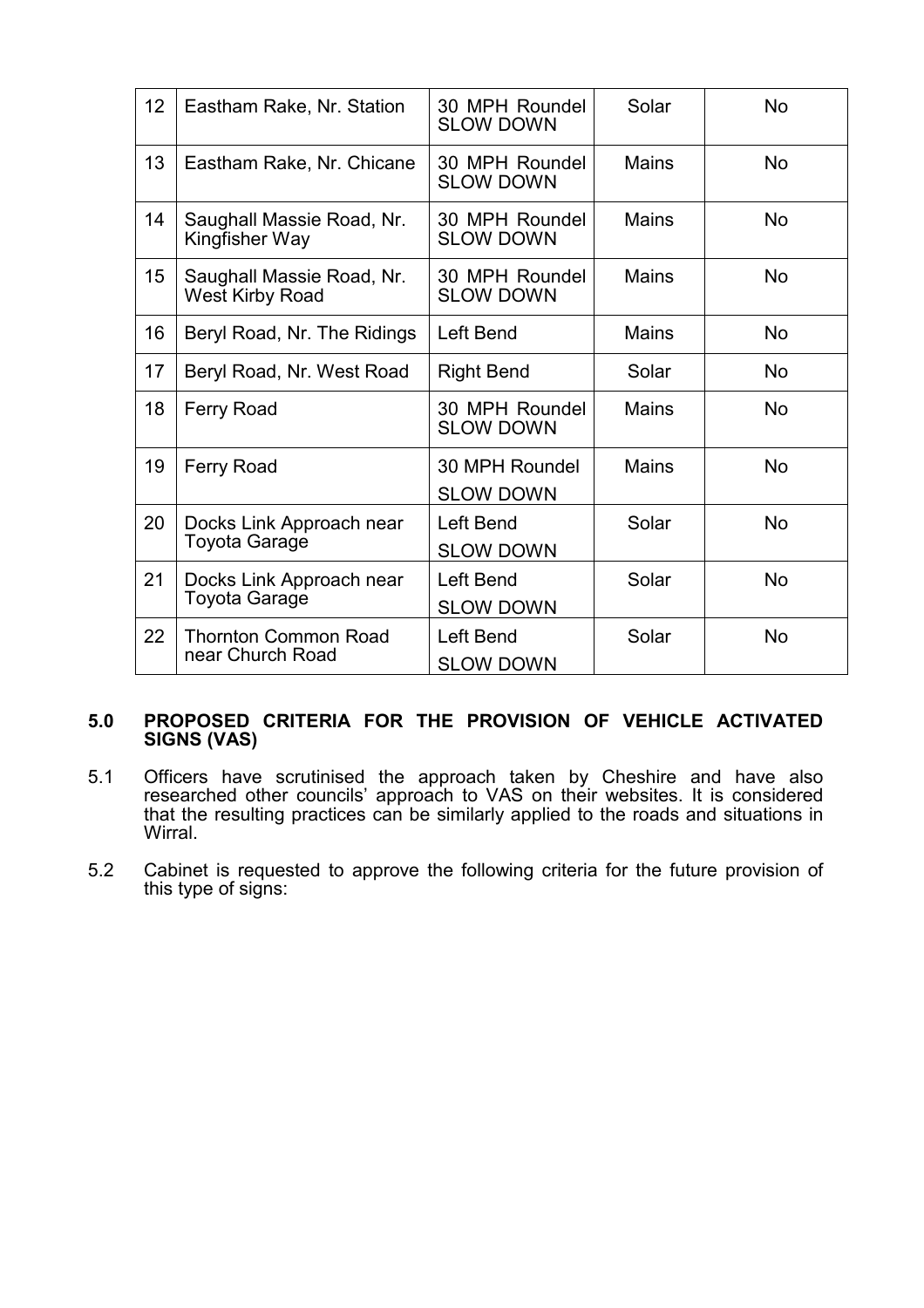| 12 | Eastham Rake, Nr. Station                           | 30 MPH Roundel<br><b>SLOW DOWN</b> | Solar        | <b>No</b> |
|----|-----------------------------------------------------|------------------------------------|--------------|-----------|
| 13 | Eastham Rake, Nr. Chicane                           | 30 MPH Roundel<br><b>SLOW DOWN</b> | <b>Mains</b> | <b>No</b> |
| 14 | Saughall Massie Road, Nr.<br>Kingfisher Way         | 30 MPH Roundel<br><b>SLOW DOWN</b> | <b>Mains</b> | <b>No</b> |
| 15 | Saughall Massie Road, Nr.<br><b>West Kirby Road</b> | 30 MPH Roundel<br><b>SLOW DOWN</b> | <b>Mains</b> | <b>No</b> |
| 16 | Beryl Road, Nr. The Ridings                         | Left Bend                          | <b>Mains</b> | <b>No</b> |
| 17 | Beryl Road, Nr. West Road                           | <b>Right Bend</b>                  | Solar        | <b>No</b> |
| 18 | <b>Ferry Road</b>                                   | 30 MPH Roundel<br><b>SLOW DOWN</b> | <b>Mains</b> | <b>No</b> |
| 19 | <b>Ferry Road</b>                                   | 30 MPH Roundel<br><b>SLOW DOWN</b> | <b>Mains</b> | <b>No</b> |
| 20 | Docks Link Approach near<br><b>Toyota Garage</b>    | Left Bend<br><b>SLOW DOWN</b>      | Solar        | <b>No</b> |
| 21 | Docks Link Approach near<br><b>Toyota Garage</b>    | Left Bend                          | Solar        | <b>No</b> |
|    |                                                     | <b>SLOW DOWN</b>                   |              |           |
| 22 | <b>Thornton Common Road</b><br>near Church Road     | Left Bend<br><b>SLOW DOWN</b>      | Solar        | <b>No</b> |
|    |                                                     |                                    |              |           |

## 5.0 PROPOSED CRITERIA FOR THE PROVISION OF VEHICLE ACTIVATED SIGNS (VAS)

- 5.1 Officers have scrutinised the approach taken by Cheshire and have also researched other councils' approach to VAS on their websites. It is considered that the resulting practices can be similarly applied to the roads and situations in Wirral.
- 5.2 Cabinet is requested to approve the following criteria for the future provision of this type of signs: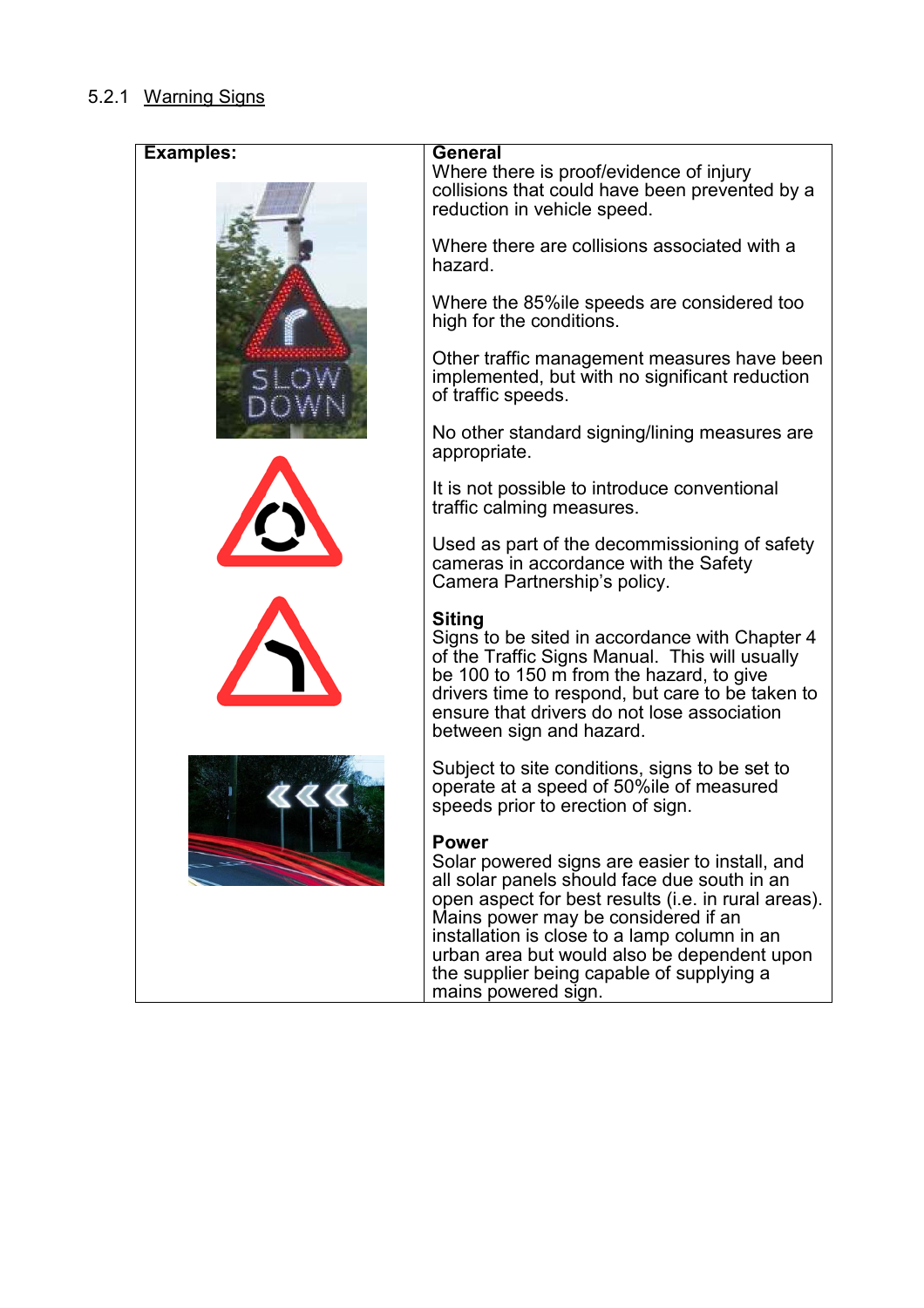# 5.2.1 Warning Signs

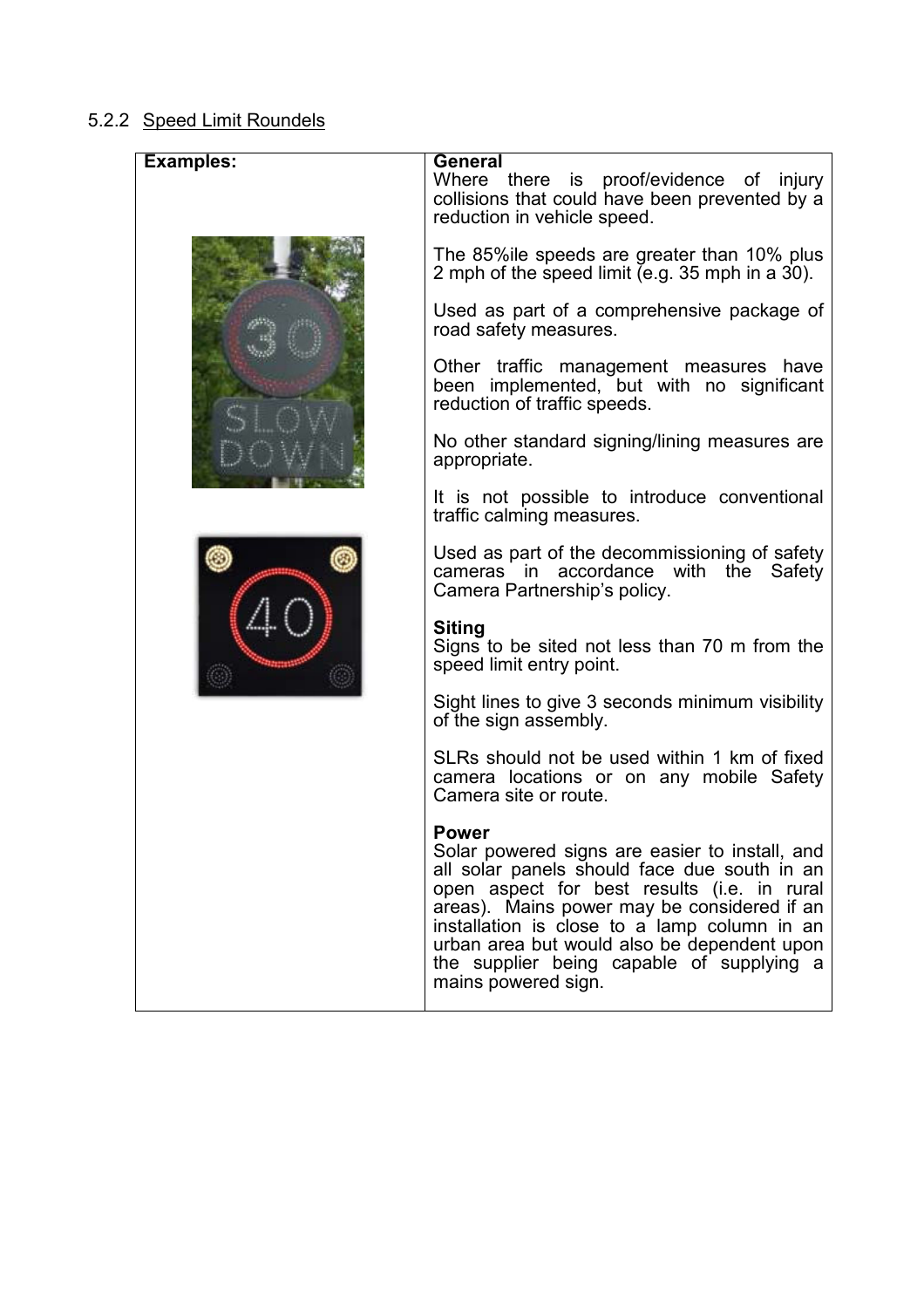# 5.2.2 Speed Limit Roundels

| <b>Examples:</b> | <b>General</b><br>Where there is proof/evidence of injury<br>collisions that could have been prevented by a<br>reduction in vehicle speed.                                                                                                                                                                                                                                      |
|------------------|---------------------------------------------------------------------------------------------------------------------------------------------------------------------------------------------------------------------------------------------------------------------------------------------------------------------------------------------------------------------------------|
|                  | The 85% le speeds are greater than 10% plus<br>2 mph of the speed limit (e.g. 35 mph in a 30).                                                                                                                                                                                                                                                                                  |
|                  | Used as part of a comprehensive package of<br>road safety measures.                                                                                                                                                                                                                                                                                                             |
|                  | Other traffic management measures have<br>been implemented, but with no significant<br>reduction of traffic speeds.                                                                                                                                                                                                                                                             |
|                  | No other standard signing/lining measures are<br>appropriate.                                                                                                                                                                                                                                                                                                                   |
|                  | It is not possible to introduce conventional<br>traffic calming measures.                                                                                                                                                                                                                                                                                                       |
|                  | Used as part of the decommissioning of safety<br>cameras in accordance with the Safety<br>Camera Partnership's policy.                                                                                                                                                                                                                                                          |
|                  | <b>Siting</b><br>Signs to be sited not less than 70 m from the<br>speed limit entry point.                                                                                                                                                                                                                                                                                      |
|                  | Sight lines to give 3 seconds minimum visibility<br>of the sign assembly.                                                                                                                                                                                                                                                                                                       |
|                  | SLRs should not be used within 1 km of fixed<br>camera locations or on any mobile Safety<br>Camera site or route.                                                                                                                                                                                                                                                               |
|                  | <b>Power</b><br>Solar powered signs are easier to install, and<br>all solar panels should face due south in an<br>open aspect for best results (i.e. in rural<br>areas). Mains power may be considered if an<br>installation is close to a lamp column in an<br>urban area but would also be dependent upon<br>the supplier being capable of supplying a<br>mains powered sign. |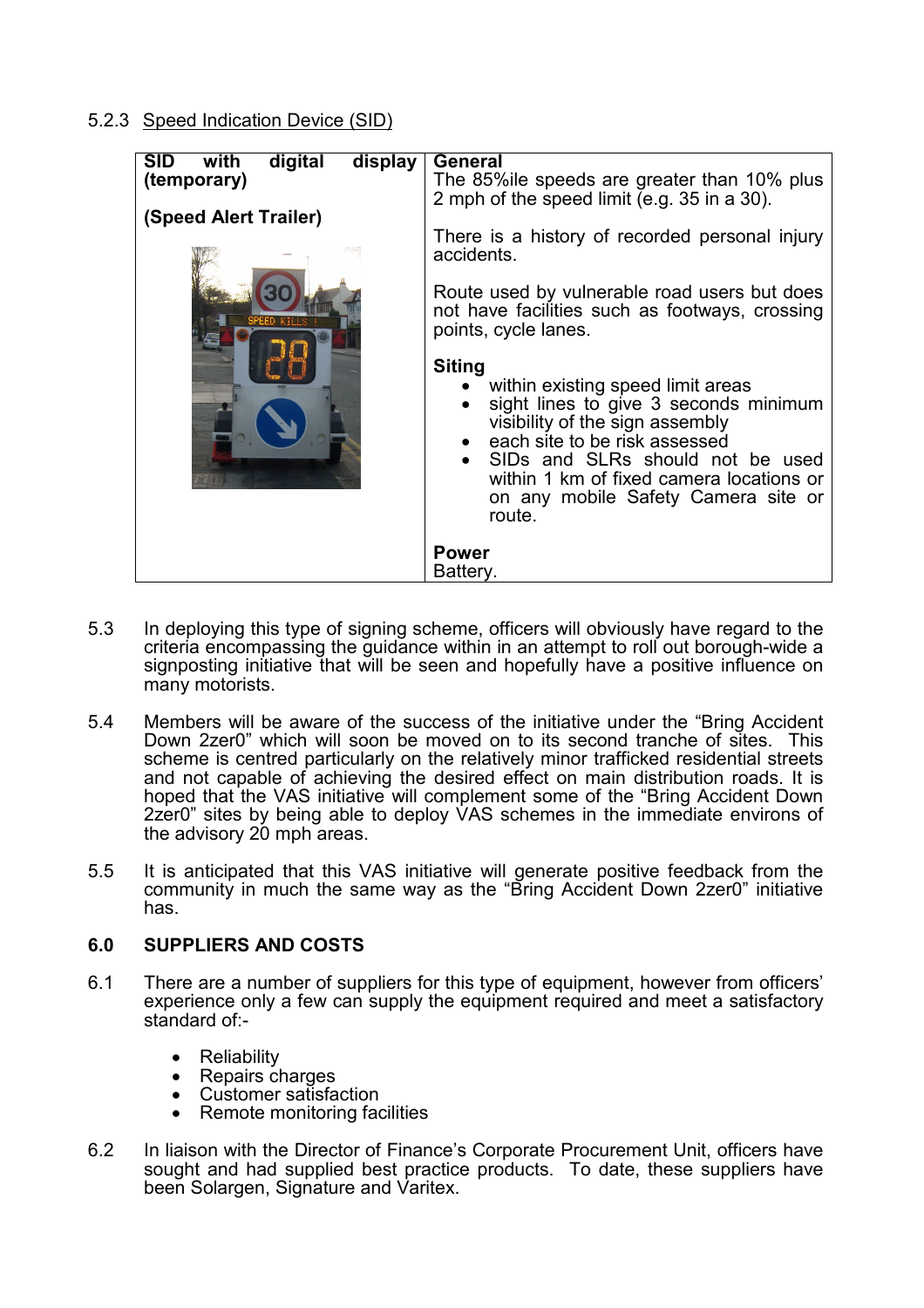# 5.2.3 Speed Indication Device (SID)

| <b>SID</b><br>with<br>digital<br>display<br>(temporary)<br>(Speed Alert Trailer)<br>SPEED KTI | General<br>The 85% le speeds are greater than 10% plus<br>2 mph of the speed limit (e.g. 35 in a 30).<br>There is a history of recorded personal injury<br>accidents.<br>Route used by vulnerable road users but does<br>not have facilities such as footways, crossing<br>points, cycle lanes.<br><b>Siting</b><br>• within existing speed limit areas<br>sight lines to give 3 seconds minimum<br>visibility of the sign assembly<br>• each site to be risk assessed<br>• SIDs and SLRs should not be used<br>within 1 km of fixed camera locations or<br>on any mobile Safety Camera site or<br>route. |
|-----------------------------------------------------------------------------------------------|-----------------------------------------------------------------------------------------------------------------------------------------------------------------------------------------------------------------------------------------------------------------------------------------------------------------------------------------------------------------------------------------------------------------------------------------------------------------------------------------------------------------------------------------------------------------------------------------------------------|
|                                                                                               | <b>Power</b><br>Battery.                                                                                                                                                                                                                                                                                                                                                                                                                                                                                                                                                                                  |

- 5.3 In deploying this type of signing scheme, officers will obviously have regard to the criteria encompassing the guidance within in an attempt to roll out borough-wide a signposting initiative that will be seen and hopefully have a positive influence on many motorists.
- 5.4 Members will be aware of the success of the initiative under the "Bring Accident Down 2zer0" which will soon be moved on to its second tranche of sites. This scheme is centred particularly on the relatively minor trafficked residential streets and not capable of achieving the desired effect on main distribution roads. It is hoped that the VAS initiative will complement some of the "Bring Accident Down 2zer0" sites by being able to deploy VAS schemes in the immediate environs of the advisory 20 mph areas.
- 5.5 It is anticipated that this VAS initiative will generate positive feedback from the community in much the same way as the "Bring Accident Down 2zer0" initiative has.

# 6.0 SUPPLIERS AND COSTS

- 6.1 There are a number of suppliers for this type of equipment, however from officers' experience only a few can supply the equipment required and meet a satisfactory standard of:-
	- Reliability
	- Repairs charges
	- Customer satisfaction
	- Remote monitoring facilities
- 6.2 In liaison with the Director of Finance's Corporate Procurement Unit, officers have sought and had supplied best practice products. To date, these suppliers have been Solargen, Signature and Varitex.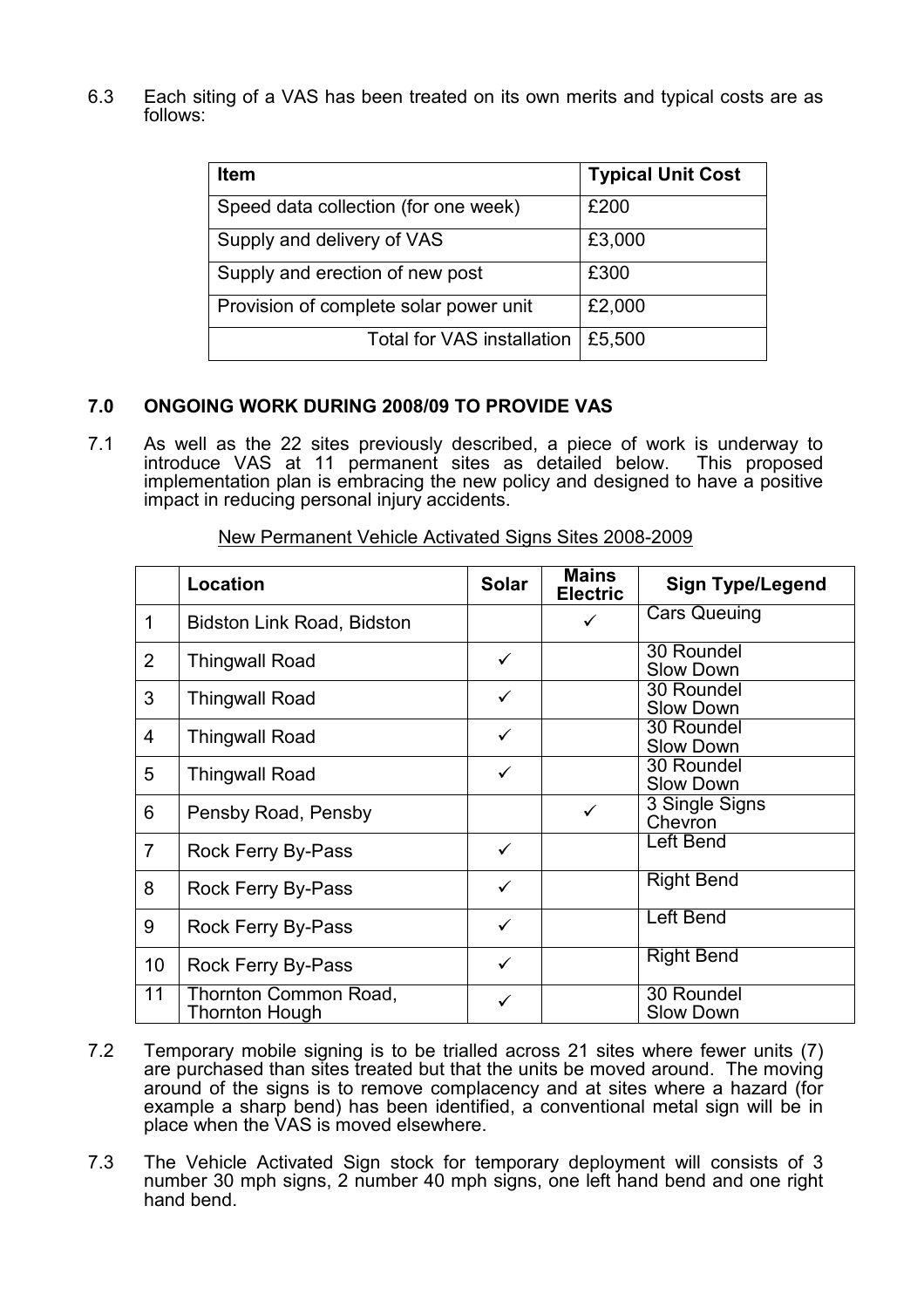6.3 Each siting of a VAS has been treated on its own merits and typical costs are as follows:

| <b>Item</b>                            | <b>Typical Unit Cost</b> |
|----------------------------------------|--------------------------|
| Speed data collection (for one week)   | £200                     |
| Supply and delivery of VAS             | £3,000                   |
| Supply and erection of new post        | £300                     |
| Provision of complete solar power unit | £2,000                   |
| <b>Total for VAS installation</b>      | £5,500                   |

# 7.0 ONGOING WORK DURING 2008/09 TO PROVIDE VAS

7.1 As well as the 22 sites previously described, a piece of work is underway to introduce VAS at 11 permanent sites as detailed below. This proposed implementation plan is embracing the new policy and designed to have a positive impact in reducing personal injury accidents.

|                 | Location                                | <b>Solar</b> | Mains<br><b>Electric</b> | <b>Sign Type/Legend</b>        |
|-----------------|-----------------------------------------|--------------|--------------------------|--------------------------------|
| 1               | <b>Bidston Link Road, Bidston</b>       |              | ✓                        | <b>Cars Queuing</b>            |
| 2               | <b>Thingwall Road</b>                   | $\checkmark$ |                          | 30 Roundel<br><b>Slow Down</b> |
| 3               | <b>Thingwall Road</b>                   | $\checkmark$ |                          | 30 Roundel<br><b>Slow Down</b> |
| $\overline{4}$  | <b>Thingwall Road</b>                   | $\checkmark$ |                          | 30 Roundel<br><b>Slow Down</b> |
| 5               | <b>Thingwall Road</b>                   | ✓            |                          | 30 Roundel<br><b>Slow Down</b> |
| 6               | Pensby Road, Pensby                     |              | $\checkmark$             | 3 Single Signs<br>Chevron      |
| $\overline{7}$  | <b>Rock Ferry By-Pass</b>               | $\checkmark$ |                          | Left Bend                      |
| 8               | Rock Ferry By-Pass                      | $\checkmark$ |                          | <b>Right Bend</b>              |
| 9               | Rock Ferry By-Pass                      | $\checkmark$ |                          | <b>Left Bend</b>               |
| 10 <sup>1</sup> | Rock Ferry By-Pass                      | $\checkmark$ |                          | <b>Right Bend</b>              |
| $\overline{11}$ | Thornton Common Road,<br>Thornton Hough | ✓            |                          | 30 Roundel<br><b>Slow Down</b> |

New Permanent Vehicle Activated Signs Sites 2008-2009

- 7.2 Temporary mobile signing is to be trialled across 21 sites where fewer units (7) are purchased than sites treated but that the units be moved around. The moving around of the signs is to remove complacency and at sites where a hazard (for example a sharp bend) has been identified, a conventional metal sign will be in place when the VAS is moved elsewhere.
- 7.3 The Vehicle Activated Sign stock for temporary deployment will consists of 3 number 30 mph signs, 2 number 40 mph signs, one left hand bend and one right hand bend.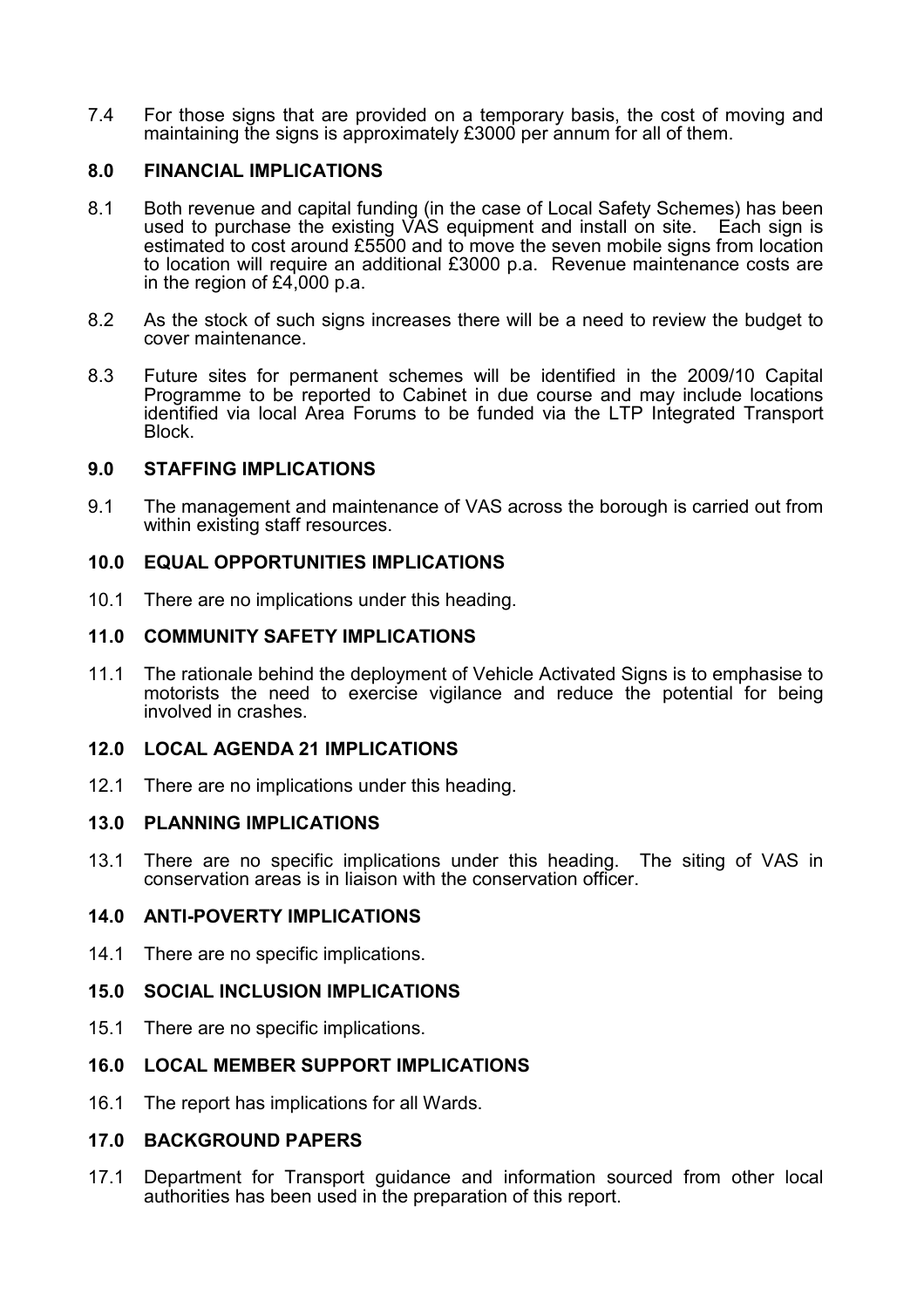7.4 For those signs that are provided on a temporary basis, the cost of moving and maintaining the signs is approximately £3000 per annum for all of them.

# 8.0 FINANCIAL IMPLICATIONS

- 8.1 Both revenue and capital funding (in the case of Local Safety Schemes) has been used to purchase the existing VAS equipment and install on site. Each sign is estimated to cost around £5500 and to move the seven mobile signs from location to location will require an additional £3000 p.a. Revenue maintenance costs are in the region of £4,000 p.a.
- 8.2 As the stock of such signs increases there will be a need to review the budget to cover maintenance.
- 8.3 Future sites for permanent schemes will be identified in the 2009/10 Capital Programme to be reported to Cabinet in due course and may include locations identified via local Area Forums to be funded via the LTP Integrated Transport Block.

## 9.0 STAFFING IMPLICATIONS

9.1 The management and maintenance of VAS across the borough is carried out from within existing staff resources.

## 10.0 EQUAL OPPORTUNITIES IMPLICATIONS

10.1 There are no implications under this heading.

### 11.0 COMMUNITY SAFETY IMPLICATIONS

11.1 The rationale behind the deployment of Vehicle Activated Signs is to emphasise to motorists the need to exercise vigilance and reduce the potential for being involved in crashes.

### 12.0 LOCAL AGENDA 21 IMPLICATIONS

12.1 There are no implications under this heading.

### 13.0 PLANNING IMPLICATIONS

13.1 There are no specific implications under this heading. The siting of VAS in conservation areas is in liaison with the conservation officer.

### 14.0 ANTI-POVERTY IMPLICATIONS

14.1 There are no specific implications.

### 15.0 SOCIAL INCLUSION IMPLICATIONS

15.1 There are no specific implications.

### 16.0 LOCAL MEMBER SUPPORT IMPLICATIONS

16.1 The report has implications for all Wards.

### 17.0 BACKGROUND PAPERS

17.1 Department for Transport guidance and information sourced from other local authorities has been used in the preparation of this report.